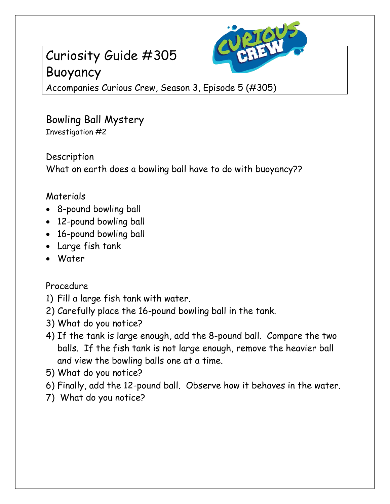## Curiosity Guide #305 Buoyancy



Accompanies Curious Crew, Season 3, Episode 5 (#305)

Bowling Ball Mystery Investigation #2

Description What on earth does a bowling ball have to do with buoyancy??

## Materials

- 8-pound bowling ball
- 12-pound bowling ball
- 16-pound bowling ball
- Large fish tank
- Water

Procedure

- 1) Fill a large fish tank with water.
- 2) Carefully place the 16-pound bowling ball in the tank.
- 3) What do you notice?
- 4) If the tank is large enough, add the 8-pound ball. Compare the two balls. If the fish tank is not large enough, remove the heavier ball and view the bowling balls one at a time.
- 5) What do you notice?
- 6) Finally, add the 12-pound ball. Observe how it behaves in the water.
- 7) What do you notice?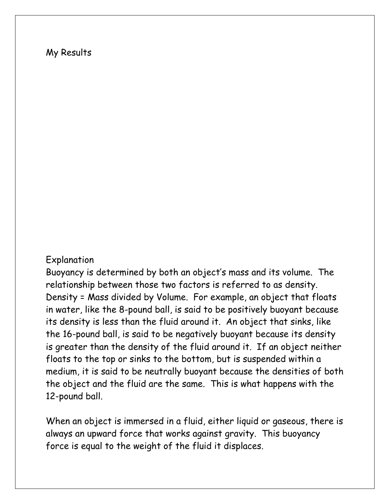## My Results

## Explanation

Buoyancy is determined by both an object's mass and its volume. The relationship between those two factors is referred to as density. Density = Mass divided by Volume. For example, an object that floats in water, like the 8-pound ball, is said to be positively buoyant because its density is less than the fluid around it. An object that sinks, like the 16-pound ball, is said to be negatively buoyant because its density is greater than the density of the fluid around it. If an object neither floats to the top or sinks to the bottom, but is suspended within a medium, it is said to be neutrally buoyant because the densities of both the object and the fluid are the same. This is what happens with the 12-pound ball.

When an object is immersed in a fluid, either liquid or gaseous, there is always an upward force that works against gravity. This buoyancy force is equal to the weight of the fluid it displaces.